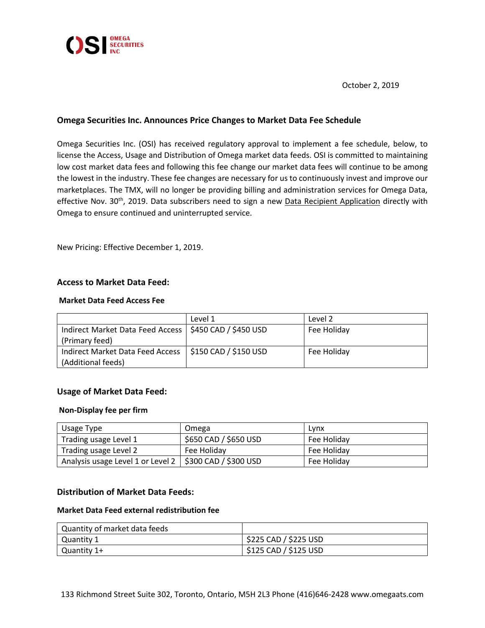

October 2, 2019

# **Omega Securities Inc. Announces Price Changes to Market Data Fee Schedule**

Omega Securities Inc. (OSI) has received regulatory approval to implement a fee schedule, below, to license the Access, Usage and Distribution of Omega market data feeds. OSI is committed to maintaining low cost market data fees and following this fee change our market data fees will continue to be among the lowest in the industry. These fee changes are necessary for us to continuously invest and improve our marketplaces. The TMX, will no longer be providing billing and administration services for Omega Data, effective Nov. 30<sup>th</sup>, 2019. Data subscribers need to sign a new <u>Data Recipient Application</u> directly with Omega to ensure continued and uninterrupted service.

New Pricing: Effective December 1, 2019.

## **Access to Market Data Feed:**

## **Market Data Feed Access Fee**

|                                                          | Level 1               | Level 2     |
|----------------------------------------------------------|-----------------------|-------------|
| Indirect Market Data Feed Access   \$450 CAD / \$450 USD |                       | Fee Holiday |
| (Primary feed)                                           |                       |             |
| Indirect Market Data Feed Access                         | \$150 CAD / \$150 USD | Fee Holiday |
| (Additional feeds)                                       |                       |             |

# **Usage of Market Data Feed:**

#### **Non-Display fee per firm**

| Usage Type                        | Omega                 | Lynx        |
|-----------------------------------|-----------------------|-------------|
| Trading usage Level 1             | \$650 CAD / \$650 USD | Fee Holiday |
| Trading usage Level 2             | Fee Holiday           | Fee Holiday |
| Analysis usage Level 1 or Level 2 | \$300 CAD / \$300 USD | Fee Holiday |

#### **Distribution of Market Data Feeds:**

# **Market Data Feed external redistribution fee**

| Quantity of market data feeds |                       |
|-------------------------------|-----------------------|
| Quantity 1                    | \$225 CAD / \$225 USD |
| Quantity 1+                   | \$125 CAD / \$125 USD |